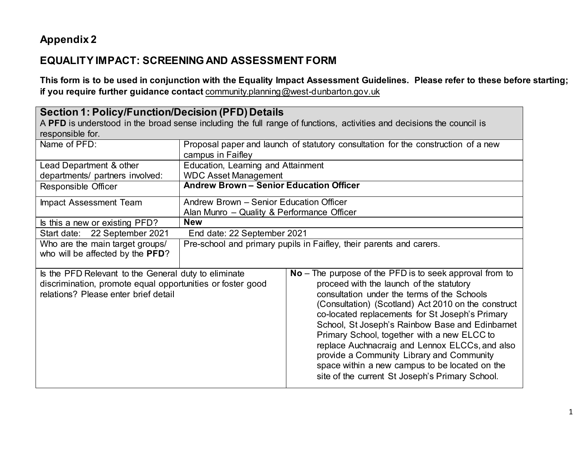## **Appendix 2**

## **EQUALITY IMPACT: SCREENING AND ASSESSMENT FORM**

**This form is to be used in conjunction with the Equality Impact Assessment Guidelines. Please refer to these before starting; if you require further guidance contact** [community.planning@west-dunbarton.gov.uk](mailto:community.planning@west-dunbarton.gov.uk)

| <b>Section 1: Policy/Function/Decision (PFD) Details</b><br>A PFD is understood in the broad sense including the full range of functions, activities and decisions the council is<br>responsible for. |                                                                                                        |                                                                                                                                                                                                                                                                                                                                                                                                                                                                                                                                                                      |  |
|-------------------------------------------------------------------------------------------------------------------------------------------------------------------------------------------------------|--------------------------------------------------------------------------------------------------------|----------------------------------------------------------------------------------------------------------------------------------------------------------------------------------------------------------------------------------------------------------------------------------------------------------------------------------------------------------------------------------------------------------------------------------------------------------------------------------------------------------------------------------------------------------------------|--|
| Name of PFD:                                                                                                                                                                                          | Proposal paper and launch of statutory consultation for the construction of a new<br>campus in Faifley |                                                                                                                                                                                                                                                                                                                                                                                                                                                                                                                                                                      |  |
| Lead Department & other<br>departments/ partners involved:                                                                                                                                            | Education, Learning and Attainment<br><b>WDC Asset Management</b>                                      |                                                                                                                                                                                                                                                                                                                                                                                                                                                                                                                                                                      |  |
| Responsible Officer                                                                                                                                                                                   | <b>Andrew Brown - Senior Education Officer</b>                                                         |                                                                                                                                                                                                                                                                                                                                                                                                                                                                                                                                                                      |  |
| Impact Assessment Team                                                                                                                                                                                | Andrew Brown - Senior Education Officer<br>Alan Munro - Quality & Performance Officer                  |                                                                                                                                                                                                                                                                                                                                                                                                                                                                                                                                                                      |  |
| Is this a new or existing PFD?                                                                                                                                                                        | <b>New</b>                                                                                             |                                                                                                                                                                                                                                                                                                                                                                                                                                                                                                                                                                      |  |
| Start date: 22 September 2021                                                                                                                                                                         | End date: 22 September 2021                                                                            |                                                                                                                                                                                                                                                                                                                                                                                                                                                                                                                                                                      |  |
| Who are the main target groups/<br>who will be affected by the PFD?                                                                                                                                   | Pre-school and primary pupils in Faifley, their parents and carers.                                    |                                                                                                                                                                                                                                                                                                                                                                                                                                                                                                                                                                      |  |
| Is the PFD Relevant to the General duty to eliminate<br>discrimination, promote equal opportunities or foster good<br>relations? Please enter brief detail                                            |                                                                                                        | $No$ – The purpose of the PFD is to seek approval from to<br>proceed with the launch of the statutory<br>consultation under the terms of the Schools<br>(Consultation) (Scotland) Act 2010 on the construct<br>co-located replacements for St Joseph's Primary<br>School, St Joseph's Rainbow Base and Edinbarnet<br>Primary School, together with a new ELCC to<br>replace Auchnacraig and Lennox ELCCs, and also<br>provide a Community Library and Community<br>space within a new campus to be located on the<br>site of the current St Joseph's Primary School. |  |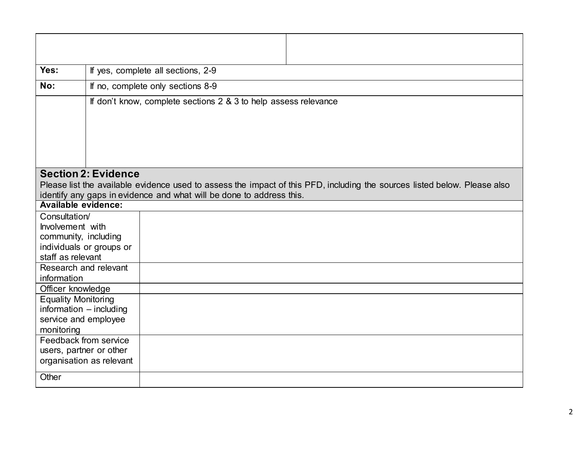| Yes:                       |                            | If yes, complete all sections, 2-9                                                                                        |  |  |  |
|----------------------------|----------------------------|---------------------------------------------------------------------------------------------------------------------------|--|--|--|
|                            |                            |                                                                                                                           |  |  |  |
| No:                        |                            | If no, complete only sections 8-9                                                                                         |  |  |  |
|                            |                            | If don't know, complete sections 2 & 3 to help assess relevance                                                           |  |  |  |
|                            |                            |                                                                                                                           |  |  |  |
|                            |                            |                                                                                                                           |  |  |  |
|                            |                            |                                                                                                                           |  |  |  |
|                            |                            |                                                                                                                           |  |  |  |
|                            |                            |                                                                                                                           |  |  |  |
|                            | <b>Section 2: Evidence</b> |                                                                                                                           |  |  |  |
|                            |                            | Please list the available evidence used to assess the impact of this PFD, including the sources listed below. Please also |  |  |  |
| <b>Available evidence:</b> |                            | identify any gaps in evidence and what will be done to address this.                                                      |  |  |  |
| Consultation/              |                            |                                                                                                                           |  |  |  |
| Involvement with           |                            |                                                                                                                           |  |  |  |
|                            | community, including       |                                                                                                                           |  |  |  |
|                            | individuals or groups or   |                                                                                                                           |  |  |  |
| staff as relevant          |                            |                                                                                                                           |  |  |  |
| Research and relevant      |                            |                                                                                                                           |  |  |  |
| information                |                            |                                                                                                                           |  |  |  |
| Officer knowledge          |                            |                                                                                                                           |  |  |  |
| <b>Equality Monitoring</b> |                            |                                                                                                                           |  |  |  |
| information - including    |                            |                                                                                                                           |  |  |  |
|                            | service and employee       |                                                                                                                           |  |  |  |
| monitoring                 |                            |                                                                                                                           |  |  |  |
|                            | Feedback from service      |                                                                                                                           |  |  |  |
| users, partner or other    |                            |                                                                                                                           |  |  |  |
|                            | organisation as relevant   |                                                                                                                           |  |  |  |
| Other                      |                            |                                                                                                                           |  |  |  |
|                            |                            |                                                                                                                           |  |  |  |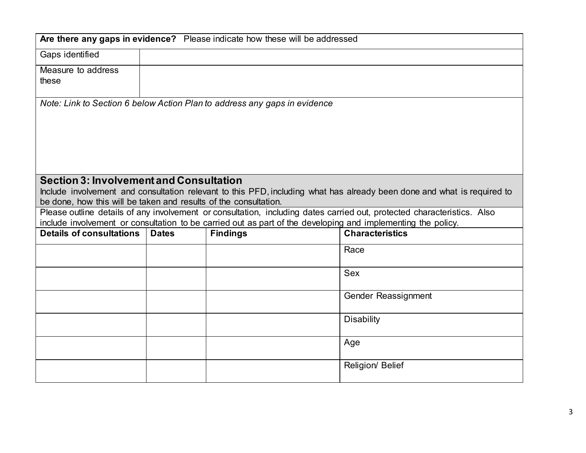| Are there any gaps in evidence? Please indicate how these will be addressed                                                                                                                                  |                     |                                                                           |                                                                                                                         |  |  |
|--------------------------------------------------------------------------------------------------------------------------------------------------------------------------------------------------------------|---------------------|---------------------------------------------------------------------------|-------------------------------------------------------------------------------------------------------------------------|--|--|
| Gaps identified                                                                                                                                                                                              |                     |                                                                           |                                                                                                                         |  |  |
| Measure to address<br>these                                                                                                                                                                                  |                     |                                                                           |                                                                                                                         |  |  |
|                                                                                                                                                                                                              |                     | Note: Link to Section 6 below Action Plan to address any gaps in evidence |                                                                                                                         |  |  |
|                                                                                                                                                                                                              |                     |                                                                           |                                                                                                                         |  |  |
|                                                                                                                                                                                                              |                     |                                                                           |                                                                                                                         |  |  |
|                                                                                                                                                                                                              |                     |                                                                           |                                                                                                                         |  |  |
|                                                                                                                                                                                                              |                     |                                                                           |                                                                                                                         |  |  |
|                                                                                                                                                                                                              |                     |                                                                           |                                                                                                                         |  |  |
| <b>Section 3: Involvement and Consultation</b>                                                                                                                                                               |                     |                                                                           |                                                                                                                         |  |  |
|                                                                                                                                                                                                              |                     |                                                                           | Include involvement and consultation relevant to this PFD, including what has already been done and what is required to |  |  |
| be done, how this will be taken and results of the consultation.                                                                                                                                             |                     |                                                                           | Please outline details of any involvement or consultation, including dates carried out, protected characteristics. Also |  |  |
|                                                                                                                                                                                                              |                     |                                                                           |                                                                                                                         |  |  |
| include involvement or consultation to be carried out as part of the developing and implementing the policy.<br><b>Details of consultations</b><br><b>Characteristics</b><br><b>Dates</b><br><b>Findings</b> |                     |                                                                           |                                                                                                                         |  |  |
|                                                                                                                                                                                                              |                     |                                                                           | Race                                                                                                                    |  |  |
|                                                                                                                                                                                                              |                     |                                                                           |                                                                                                                         |  |  |
|                                                                                                                                                                                                              | <b>Sex</b>          |                                                                           |                                                                                                                         |  |  |
|                                                                                                                                                                                                              | Gender Reassignment |                                                                           |                                                                                                                         |  |  |
|                                                                                                                                                                                                              |                     |                                                                           |                                                                                                                         |  |  |
|                                                                                                                                                                                                              | <b>Disability</b>   |                                                                           |                                                                                                                         |  |  |
|                                                                                                                                                                                                              |                     |                                                                           |                                                                                                                         |  |  |
|                                                                                                                                                                                                              | Age                 |                                                                           |                                                                                                                         |  |  |
|                                                                                                                                                                                                              |                     |                                                                           | Religion/ Belief                                                                                                        |  |  |
|                                                                                                                                                                                                              |                     |                                                                           |                                                                                                                         |  |  |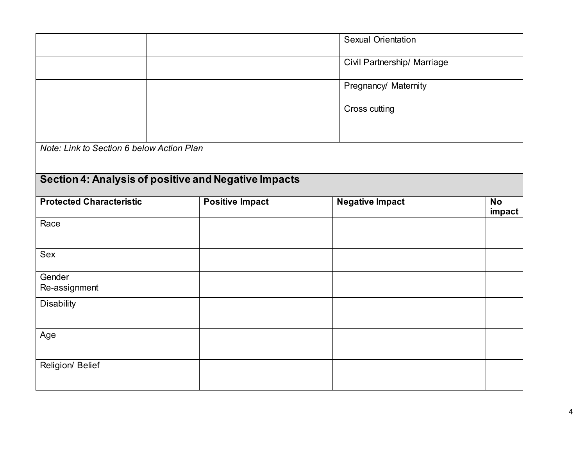|                                                      |                        | <b>Sexual Orientation</b>   |           |
|------------------------------------------------------|------------------------|-----------------------------|-----------|
|                                                      |                        | Civil Partnership/ Marriage |           |
|                                                      |                        | Pregnancy/ Maternity        |           |
|                                                      |                        | Cross cutting               |           |
|                                                      |                        |                             |           |
| Note: Link to Section 6 below Action Plan            |                        |                             |           |
|                                                      |                        |                             |           |
| Section 4: Analysis of positive and Negative Impacts |                        |                             |           |
| <b>Protected Characteristic</b>                      | <b>Positive Impact</b> | <b>Negative Impact</b>      | <b>No</b> |
|                                                      |                        |                             | impact    |
| Race                                                 |                        |                             |           |
|                                                      |                        |                             |           |
| Sex                                                  |                        |                             |           |
| Gender                                               |                        |                             |           |
| Re-assignment                                        |                        |                             |           |
| <b>Disability</b>                                    |                        |                             |           |
| Age                                                  |                        |                             |           |
|                                                      |                        |                             |           |
| Religion/ Belief                                     |                        |                             |           |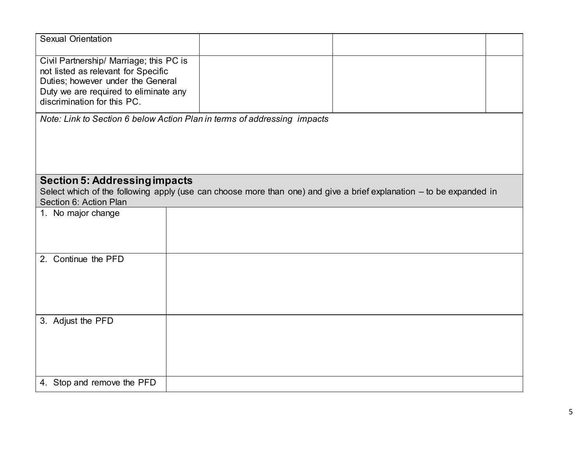| <b>Sexual Orientation</b>                                                                                                                                                                   |  |  |
|---------------------------------------------------------------------------------------------------------------------------------------------------------------------------------------------|--|--|
| Civil Partnership/ Marriage; this PC is<br>not listed as relevant for Specific<br>Duties; however under the General<br>Duty we are required to eliminate any<br>discrimination for this PC. |  |  |
| Note: Link to Section 6 below Action Plan in terms of addressing impacts                                                                                                                    |  |  |
|                                                                                                                                                                                             |  |  |
| <b>Section 5: Addressing impacts</b>                                                                                                                                                        |  |  |
| Select which of the following apply (use can choose more than one) and give a brief explanation - to be expanded in                                                                         |  |  |
| Section 6: Action Plan                                                                                                                                                                      |  |  |
| 1. No major change                                                                                                                                                                          |  |  |
| 2. Continue the PFD                                                                                                                                                                         |  |  |
| 3. Adjust the PFD                                                                                                                                                                           |  |  |
|                                                                                                                                                                                             |  |  |
| 4. Stop and remove the PFD                                                                                                                                                                  |  |  |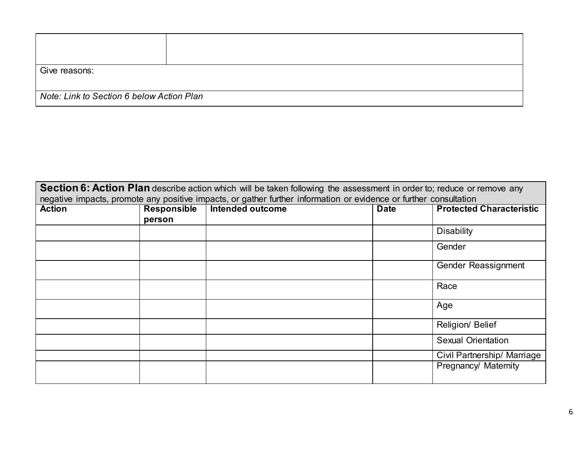| Give reasons:                             |  |  |  |  |
|-------------------------------------------|--|--|--|--|
| Note: Link to Section 6 below Action Plan |  |  |  |  |

| Section 6: Action Plan describe action which will be taken following the assessment in order to; reduce or remove any<br>negative impacts, promote any positive impacts, or gather further information or evidence or further consultation |                              |                         |             |                                 |
|--------------------------------------------------------------------------------------------------------------------------------------------------------------------------------------------------------------------------------------------|------------------------------|-------------------------|-------------|---------------------------------|
| <b>Action</b>                                                                                                                                                                                                                              | <b>Responsible</b><br>person | <b>Intended outcome</b> | <b>Date</b> | <b>Protected Characteristic</b> |
|                                                                                                                                                                                                                                            |                              |                         |             | <b>Disability</b>               |
|                                                                                                                                                                                                                                            |                              |                         |             | Gender                          |
|                                                                                                                                                                                                                                            |                              |                         |             | Gender Reassignment             |
|                                                                                                                                                                                                                                            |                              |                         |             | Race                            |
|                                                                                                                                                                                                                                            |                              |                         |             | Age                             |
|                                                                                                                                                                                                                                            |                              |                         |             | Religion/ Belief                |
|                                                                                                                                                                                                                                            |                              |                         |             | Sexual Orientation              |
|                                                                                                                                                                                                                                            |                              |                         |             | Civil Partnership/ Marriage     |
|                                                                                                                                                                                                                                            |                              |                         |             | Pregnancy/ Maternity            |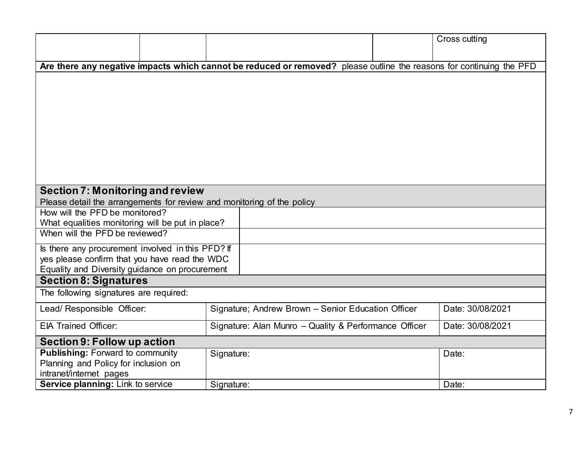|                                                                                                                      |                                                       |  | Cross cutting    |  |
|----------------------------------------------------------------------------------------------------------------------|-------------------------------------------------------|--|------------------|--|
| Are there any negative impacts which cannot be reduced or removed? please outline the reasons for continuing the PFD |                                                       |  |                  |  |
|                                                                                                                      |                                                       |  |                  |  |
|                                                                                                                      |                                                       |  |                  |  |
|                                                                                                                      |                                                       |  |                  |  |
|                                                                                                                      |                                                       |  |                  |  |
|                                                                                                                      |                                                       |  |                  |  |
|                                                                                                                      |                                                       |  |                  |  |
|                                                                                                                      |                                                       |  |                  |  |
|                                                                                                                      |                                                       |  |                  |  |
|                                                                                                                      |                                                       |  |                  |  |
| <b>Section 7: Monitoring and review</b>                                                                              |                                                       |  |                  |  |
| Please detail the arrangements for review and monitoring of the policy                                               |                                                       |  |                  |  |
| How will the PFD be monitored?                                                                                       |                                                       |  |                  |  |
| What equalities monitoring will be put in place?<br>When will the PFD be reviewed?                                   |                                                       |  |                  |  |
|                                                                                                                      |                                                       |  |                  |  |
| Is there any procurement involved in this PFD? If                                                                    |                                                       |  |                  |  |
| yes please confirm that you have read the WDC<br>Equality and Diversity guidance on procurement                      |                                                       |  |                  |  |
| <b>Section 8: Signatures</b>                                                                                         |                                                       |  |                  |  |
| The following signatures are required:                                                                               |                                                       |  |                  |  |
| Lead/ Responsible Officer:                                                                                           | Signature; Andrew Brown - Senior Education Officer    |  | Date: 30/08/2021 |  |
| <b>EIA Trained Officer:</b>                                                                                          | Signature: Alan Munro - Quality & Performance Officer |  | Date: 30/08/2021 |  |
| Section 9: Follow up action                                                                                          |                                                       |  |                  |  |
| <b>Publishing: Forward to community</b>                                                                              | Signature:                                            |  | Date:            |  |
| Planning and Policy for inclusion on                                                                                 |                                                       |  |                  |  |
| intranet/internet pages<br>Service planning: Link to service                                                         | Signature:                                            |  | Date:            |  |